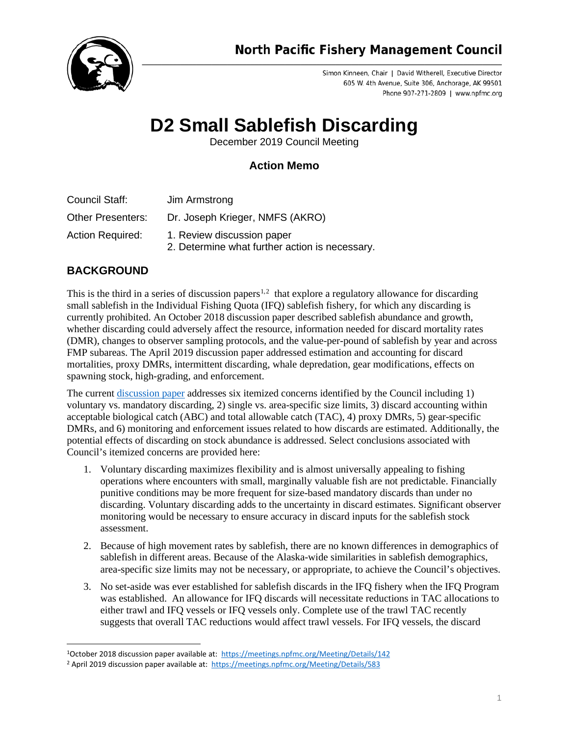

Simon Kinneen, Chair | David Witherell, Executive Director 605 W. 4th Avenue, Suite 306, Anchorage, AK 99501 Phone 907-271-2809 | www.npfmc.org

## **D2 Small Sablefish Discarding**

December 2019 Council Meeting

## **Action Memo**

- Council Staff: Jim Armstrong Other Presenters: Dr. Joseph Krieger, NMFS (AKRO)
- Action Required: 1. Review discussion paper
	- 2. Determine what further action is necessary.

## **BACKGROUND**

This is the third in a series of discussion papers<sup>[1](#page-0-0),[2](#page-0-1)</sup> that explore a regulatory allowance for discarding small sablefish in the Individual Fishing Quota (IFQ) sablefish fishery, for which any discarding is currently prohibited. An October 2018 discussion paper described sablefish abundance and growth, whether discarding could adversely affect the resource, information needed for discard mortality rates (DMR), changes to observer sampling protocols, and the value-per-pound of sablefish by year and across FMP subareas. The April 2019 discussion paper addressed estimation and accounting for discard mortalities, proxy DMRs, intermittent discarding, whale depredation, gear modifications, effects on spawning stock, high-grading, and enforcement.

The curren[t discussion paper](https://meetings.npfmc.org/CommentReview/DownloadFile?p=af8355e5-8e81-4165-b20e-2ce11cade94d.pdf&fileName=D2%20Small%20Sablefish%20Discarding%20Discussion%20Paper.pdf) addresses six itemized concerns identified by the Council including 1) voluntary vs. mandatory discarding, 2) single vs. area-specific size limits, 3) discard accounting within acceptable biological catch (ABC) and total allowable catch (TAC), 4) proxy DMRs, 5) gear-specific DMRs, and 6) monitoring and enforcement issues related to how discards are estimated. Additionally, the potential effects of discarding on stock abundance is addressed. Select conclusions associated with Council's itemized concerns are provided here:

- 1. Voluntary discarding maximizes flexibility and is almost universally appealing to fishing operations where encounters with small, marginally valuable fish are not predictable. Financially punitive conditions may be more frequent for size-based mandatory discards than under no discarding. Voluntary discarding adds to the uncertainty in discard estimates. Significant observer monitoring would be necessary to ensure accuracy in discard inputs for the sablefish stock assessment.
- 2. Because of high movement rates by sablefish, there are no known differences in demographics of sablefish in different areas. Because of the Alaska-wide similarities in sablefish demographics, area-specific size limits may not be necessary, or appropriate, to achieve the Council's objectives.
- 3. No set-aside was ever established for sablefish discards in the IFQ fishery when the IFQ Program was established. An allowance for IFQ discards will necessitate reductions in TAC allocations to either trawl and IFQ vessels or IFQ vessels only. Complete use of the trawl TAC recently suggests that overall TAC reductions would affect trawl vessels. For IFQ vessels, the discard

<span id="page-0-0"></span><sup>1</sup>October 2018 discussion paper available at:<https://meetings.npfmc.org/Meeting/Details/142>

<span id="page-0-1"></span><sup>&</sup>lt;sup>2</sup> April 2019 discussion paper available at:<https://meetings.npfmc.org/Meeting/Details/583>